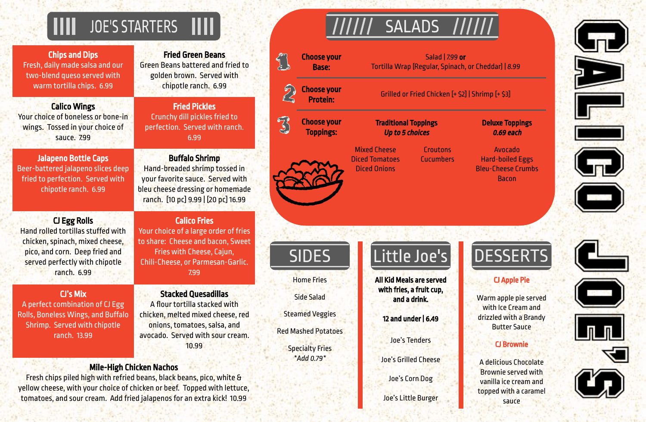# JOE'S STARTERS IIII

Chips and Dips Fresh, daily made salsa and our two-blend queso served with warm tortilla chips. 6.99

Fried Green Beans Green Beans battered and fried to golden brown. Served with chipotle ranch. 6.99

Calico Wings Your choice of boneless or bone-in wings. Tossed in your choice of sauce. 7.99

Fried Pickles Crunchy dill pickles fried to perfection. Served with ranch. 6.99

Jalapeno Bottle Caps Beer-battered jalapeno slices deep fried to perfection. Served with chipotle ranch. 6.99

# Buffalo Shrimp

Hand-breaded shrimp tossed in your favorite sauce. Served with bleu cheese dressing or homemade ranch. [10 pc] 9.99 | [20 pc] 16.99

# CJ Egg Rolls

Hand rolled tortillas stuffed with chicken, spinach, mixed cheese, pico, and corn. Deep fried and served perfectly with chipotle ranch. 6.99

Calico Fries

Your choice of a large order of fries to share: Cheese and bacon, Sweet Fries with Cheese, Cajun, Chili-Cheese, or Parmesan-Garlic. 7.99

### CJ's Mix

A perfect combination of CJ Egg Rolls, Boneless Wings, and Buffalo Shrimp. Served with chipotle ranch. 13.99

Stacked Quesadillas A flour tortilla stacked with chicken, melted mixed cheese, red onions, tomatoes, salsa, and avocado. Served with sour cream. 10.99

# Mile-High Chicken Nachos

Fresh chips piled high with refried beans, black beans, pico, white & yellow cheese, with your choice of chicken or beef. Topped with lettuce, tomatoes, and sour cream. Add fried jalapenos for an extra kick! 10.99

#### Deluxe Toppings 0.69 each

|                                                                  | <b>SAL</b>                                                                |                                                                                                    |                                                                           |
|------------------------------------------------------------------|---------------------------------------------------------------------------|----------------------------------------------------------------------------------------------------|---------------------------------------------------------------------------|
| <b>Choose your</b><br><b>Base:</b>                               | <b>Salad   799 or</b><br>Tortilla Wrap (Regular, Spinach, or Cheddar)   8 |                                                                                                    |                                                                           |
| <b>Choose your</b><br><b>Protein:</b>                            |                                                                           | Grilled or Fried Chicken [+ \$2]   Shrimp [+ \$3]                                                  |                                                                           |
| <b>Choose your</b><br><b>Toppings:</b>                           |                                                                           | <b>Deluxe To</b><br><b>Traditional Toppings</b><br><b>Up to 5 choices</b><br>0.69 e                |                                                                           |
|                                                                  | <b>Mixed Cheese</b><br><b>Diced Tomatoes</b><br><b>Diced Onions</b>       | <b>Croutons</b><br><b>Cucumbers</b>                                                                | Avoca<br>Hard-boile<br><b>Bleu-Chees</b><br><b>Bacc</b>                   |
|                                                                  |                                                                           |                                                                                                    |                                                                           |
| JIULJ                                                            |                                                                           | LILLIC JUC J                                                                                       |                                                                           |
| <b>Home Fries</b><br><b>Side Salad</b><br><b>Steamed Veggies</b> |                                                                           | <b>All Kid Meals are served</b><br>with fries, a fruit cup,<br>and a drink.<br>12 and under   6.49 | <b>CJ App</b><br>Warm apple<br>with Ice C<br>drizzled wi<br><b>Butter</b> |
| <b>Red Mashed Potatoes</b><br><b>Specialty Fries</b>             |                                                                           | <b>Joe's Tenders</b>                                                                               | CJ Bro                                                                    |

Avocado Hard-boiled Eggs Bleu-Cheese Crumbs Bacon





Joe's Grilled Cheese

Joe's Corn Dog

Joe's Little Burger



fortile Cheddar) | 8.99

*\*Add 0.79\**

#### CJ Apple Pie

Warm apple pie served with Ice Cream and drizzled with a Brandy Butter Sauce

#### CJ Brownie

A delicious Chocolate Brownie served with vanilla ice cream and topped with a caramel sauce